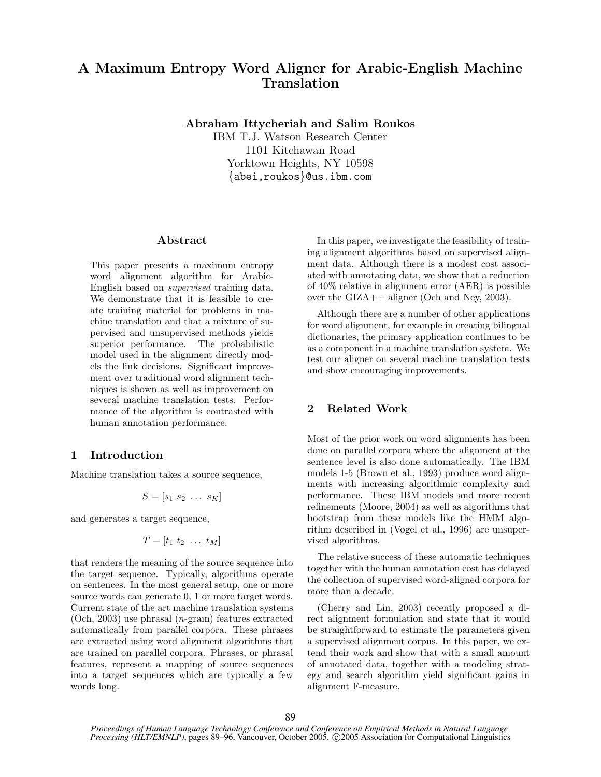# A Maximum Entropy Word Aligner for Arabic-English Machine Translation

Abraham Ittycheriah and Salim Roukos

IBM T.J. Watson Research Center 1101 Kitchawan Road Yorktown Heights, NY 10598 {abei,roukos}@us.ibm.com

### Abstract

This paper presents a maximum entropy word alignment algorithm for Arabic-English based on supervised training data. We demonstrate that it is feasible to create training material for problems in machine translation and that a mixture of supervised and unsupervised methods yields superior performance. The probabilistic model used in the alignment directly models the link decisions. Significant improvement over traditional word alignment techniques is shown as well as improvement on several machine translation tests. Performance of the algorithm is contrasted with human annotation performance.

## 1 Introduction

Machine translation takes a source sequence,

$$
S = [s_1 \ s_2 \ \ldots \ s_K]
$$

and generates a target sequence,

$$
T=[t_1\;t_2\;\ldots\;t_M]
$$

that renders the meaning of the source sequence into the target sequence. Typically, algorithms operate on sentences. In the most general setup, one or more source words can generate 0, 1 or more target words. Current state of the art machine translation systems (Och, 2003) use phrasal (n-gram) features extracted automatically from parallel corpora. These phrases are extracted using word alignment algorithms that are trained on parallel corpora. Phrases, or phrasal features, represent a mapping of source sequences into a target sequences which are typically a few words long.

In this paper, we investigate the feasibility of training alignment algorithms based on supervised alignment data. Although there is a modest cost associated with annotating data, we show that a reduction of 40% relative in alignment error (AER) is possible over the GIZA++ aligner (Och and Ney, 2003).

Although there are a number of other applications for word alignment, for example in creating bilingual dictionaries, the primary application continues to be as a component in a machine translation system. We test our aligner on several machine translation tests and show encouraging improvements.

## 2 Related Work

Most of the prior work on word alignments has been done on parallel corpora where the alignment at the sentence level is also done automatically. The IBM models 1-5 (Brown et al., 1993) produce word alignments with increasing algorithmic complexity and performance. These IBM models and more recent refinements (Moore, 2004) as well as algorithms that bootstrap from these models like the HMM algorithm described in (Vogel et al., 1996) are unsupervised algorithms.

The relative success of these automatic techniques together with the human annotation cost has delayed the collection of supervised word-aligned corpora for more than a decade.

(Cherry and Lin, 2003) recently proposed a direct alignment formulation and state that it would be straightforward to estimate the parameters given a supervised alignment corpus. In this paper, we extend their work and show that with a small amount of annotated data, together with a modeling strategy and search algorithm yield significant gains in alignment F-measure.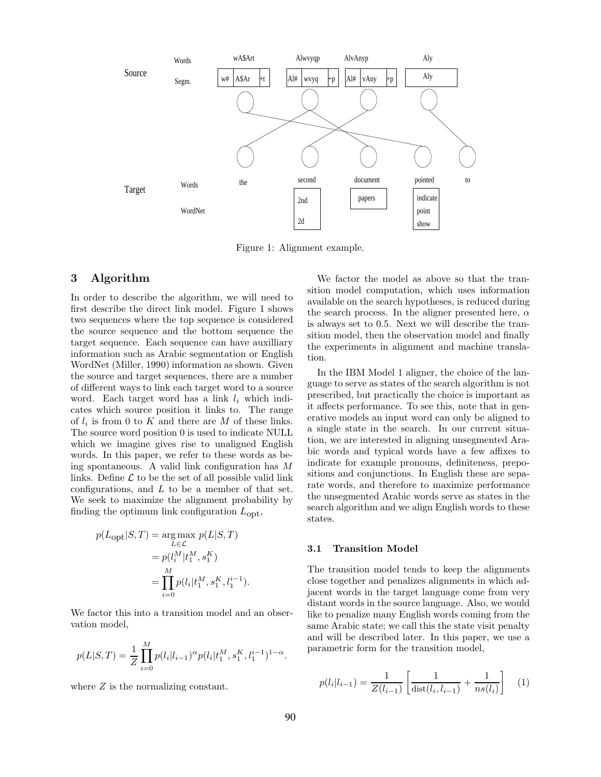

Figure 1: Alignment example.

## 3 Algorithm

In order to describe the algorithm, we will need to first describe the direct link model. Figure 1 shows two sequences where the top sequence is considered the source sequence and the bottom sequence the target sequence. Each sequence can have auxilliary information such as Arabic segmentation or English WordNet (Miller, 1990) information as shown. Given the source and target sequences, there are a number of different ways to link each target word to a source word. Each target word has a link  $l_i$  which indicates which source position it links to. The range of  $l_i$  is from 0 to K and there are M of these links. The source word position 0 is used to indicate NULL which we imagine gives rise to unaligned English words. In this paper, we refer to these words as being spontaneous. A valid link configuration has M links. Define  $\mathcal L$  to be the set of all possible valid link configurations, and L to be a member of that set. We seek to maximize the alignment probability by finding the optimum link configuration  $L_{\text{opt}}$ ,

$$
p(L_{\text{opt}}|S,T) = \underset{L \in \mathcal{L}}{\arg \max} \ p(L|S,T)
$$
  
= 
$$
p(l_i^M|t_1^M, s_1^K)
$$
  
= 
$$
\prod_{i=0}^M p(l_i|t_1^M, s_1^K, l_1^{i-1}).
$$

We factor this into a transition model and an observation model,

$$
p(L|S,T) = \frac{1}{Z} \prod_{i=0}^{M} p(l_i|l_{i-1})^{\alpha} p(l_i|t_1^M, s_1^K, t_1^{i-1})^{1-\alpha}.
$$

where  $Z$  is the normalizing constant.

We factor the model as above so that the transition model computation, which uses information available on the search hypotheses, is reduced during the search process. In the aligner presented here,  $\alpha$ is always set to 0.5. Next we will describe the transition model, then the observation model and finally the experiments in alignment and machine translation.

In the IBM Model 1 aligner, the choice of the language to serve as states of the search algorithm is not prescribed, but practically the choice is important as it affects performance. To see this, note that in generative models an input word can only be aligned to a single state in the search. In our current situation, we are interested in aligning unsegmented Arabic words and typical words have a few affixes to indicate for example pronouns, definiteness, prepositions and conjunctions. In English these are separate words, and therefore to maximize performance the unsegmented Arabic words serve as states in the search algorithm and we align English words to these states.

#### 3.1 Transition Model

The transition model tends to keep the alignments close together and penalizes alignments in which adjacent words in the target language come from very distant words in the source language. Also, we would like to penalize many English words coming from the same Arabic state; we call this the state visit penalty and will be described later. In this paper, we use a parametric form for the transition model,

$$
p(l_i|l_{i-1}) = \frac{1}{Z(l_{i-1})} \left[ \frac{1}{\text{dist}(l_i, l_{i-1})} + \frac{1}{ns(l_i)} \right] \tag{1}
$$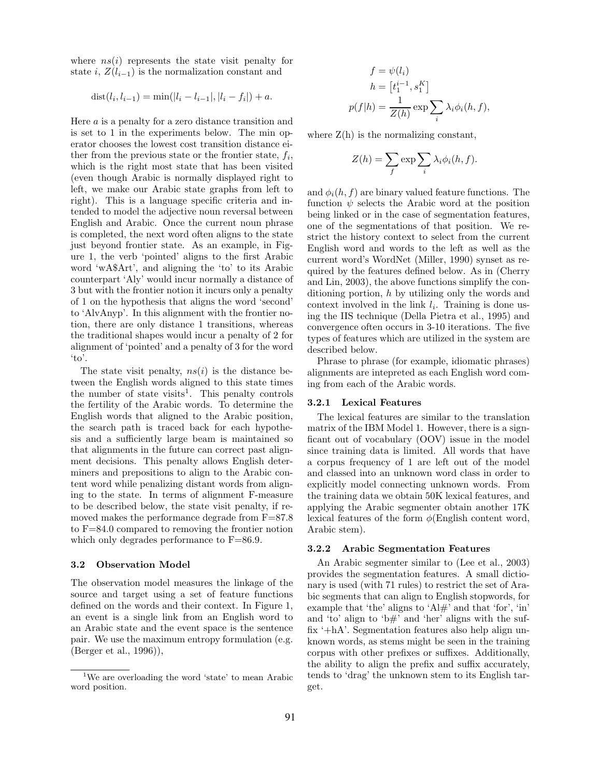where  $ns(i)$  represents the state visit penalty for state i,  $Z(l_{i-1})$  is the normalization constant and

$$
dist(l_i, l_{i-1}) = min(|l_i - l_{i-1}|, |l_i - f_i|) + a.
$$

Here a is a penalty for a zero distance transition and is set to 1 in the experiments below. The min operator chooses the lowest cost transition distance either from the previous state or the frontier state,  $f_i$ , which is the right most state that has been visited (even though Arabic is normally displayed right to left, we make our Arabic state graphs from left to right). This is a language specific criteria and intended to model the adjective noun reversal between English and Arabic. Once the current noun phrase is completed, the next word often aligns to the state just beyond frontier state. As an example, in Figure 1, the verb 'pointed' aligns to the first Arabic word 'wA\$Art', and aligning the 'to' to its Arabic counterpart 'Aly' would incur normally a distance of 3 but with the frontier notion it incurs only a penalty of 1 on the hypothesis that aligns the word 'second' to 'AlvAnyp'. In this alignment with the frontier notion, there are only distance 1 transitions, whereas the traditional shapes would incur a penalty of 2 for alignment of 'pointed' and a penalty of 3 for the word 'to'.

The state visit penalty,  $ns(i)$  is the distance between the English words aligned to this state times the number of state visits<sup>1</sup>. This penalty controls the fertility of the Arabic words. To determine the English words that aligned to the Arabic position, the search path is traced back for each hypothesis and a sufficiently large beam is maintained so that alignments in the future can correct past alignment decisions. This penalty allows English determiners and prepositions to align to the Arabic content word while penalizing distant words from aligning to the state. In terms of alignment F-measure to be described below, the state visit penalty, if removed makes the performance degrade from F=87.8 to F=84.0 compared to removing the frontier notion which only degrades performance to  $F=86.9$ .

#### 3.2 Observation Model

The observation model measures the linkage of the source and target using a set of feature functions defined on the words and their context. In Figure 1, an event is a single link from an English word to an Arabic state and the event space is the sentence pair. We use the maximum entropy formulation (e.g. (Berger et al., 1996)),

$$
f = \psi(l_i)
$$
  
\n
$$
h = [t_1^{i-1}, s_1^K]
$$
  
\n
$$
p(f|h) = \frac{1}{Z(h)} \exp \sum_i \lambda_i \phi_i(h, f),
$$

where  $Z(h)$  is the normalizing constant,

$$
Z(h) = \sum_{f} \exp \sum_{i} \lambda_{i} \phi_{i}(h, f).
$$

and  $\phi_i(h, f)$  are binary valued feature functions. The function  $\psi$  selects the Arabic word at the position being linked or in the case of segmentation features, one of the segmentations of that position. We restrict the history context to select from the current English word and words to the left as well as the current word's WordNet (Miller, 1990) synset as required by the features defined below. As in (Cherry and Lin, 2003), the above functions simplify the conditioning portion, h by utilizing only the words and context involved in the link  $l_i$ . Training is done using the IIS technique (Della Pietra et al., 1995) and convergence often occurs in 3-10 iterations. The five types of features which are utilized in the system are described below.

Phrase to phrase (for example, idiomatic phrases) alignments are intepreted as each English word coming from each of the Arabic words.

#### 3.2.1 Lexical Features

The lexical features are similar to the translation matrix of the IBM Model 1. However, there is a signficant out of vocabulary (OOV) issue in the model since training data is limited. All words that have a corpus frequency of 1 are left out of the model and classed into an unknown word class in order to explicitly model connecting unknown words. From the training data we obtain 50K lexical features, and applying the Arabic segmenter obtain another 17K lexical features of the form  $\phi$ (English content word, Arabic stem).

#### 3.2.2 Arabic Segmentation Features

An Arabic segmenter similar to (Lee et al., 2003) provides the segmentation features. A small dictionary is used (with 71 rules) to restrict the set of Arabic segments that can align to English stopwords, for example that 'the' aligns to 'Al $#$ ' and that 'for', 'in' and 'to' align to ' $b#$ ' and 'her' aligns with the suffix '+hA'. Segmentation features also help align unknown words, as stems might be seen in the training corpus with other prefixes or suffixes. Additionally, the ability to align the prefix and suffix accurately, tends to 'drag' the unknown stem to its English target.

<sup>&</sup>lt;sup>1</sup>We are overloading the word 'state' to mean Arabic word position.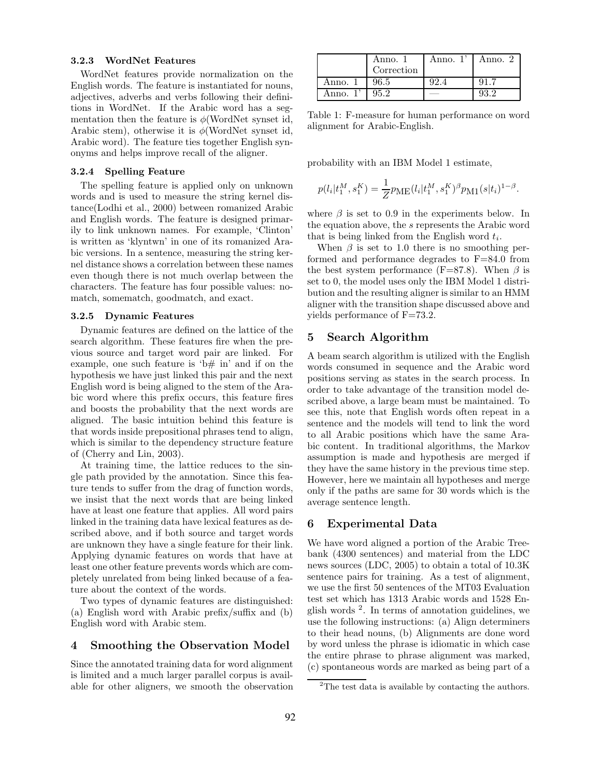#### 3.2.3 WordNet Features

WordNet features provide normalization on the English words. The feature is instantiated for nouns, adjectives, adverbs and verbs following their definitions in WordNet. If the Arabic word has a segmentation then the feature is  $\phi$ (WordNet synset id, Arabic stem), otherwise it is  $\phi$ (WordNet synset id, Arabic word). The feature ties together English synonyms and helps improve recall of the aligner.

#### 3.2.4 Spelling Feature

The spelling feature is applied only on unknown words and is used to measure the string kernel distance(Lodhi et al., 2000) between romanized Arabic and English words. The feature is designed primarily to link unknown names. For example, 'Clinton' is written as 'klyntwn' in one of its romanized Arabic versions. In a sentence, measuring the string kernel distance shows a correlation between these names even though there is not much overlap between the characters. The feature has four possible values: nomatch, somematch, goodmatch, and exact.

#### 3.2.5 Dynamic Features

Dynamic features are defined on the lattice of the search algorithm. These features fire when the previous source and target word pair are linked. For example, one such feature is  $b#$  in' and if on the hypothesis we have just linked this pair and the next English word is being aligned to the stem of the Arabic word where this prefix occurs, this feature fires and boosts the probability that the next words are aligned. The basic intuition behind this feature is that words inside prepositional phrases tend to align, which is similar to the dependency structure feature of (Cherry and Lin, 2003).

At training time, the lattice reduces to the single path provided by the annotation. Since this feature tends to suffer from the drag of function words, we insist that the next words that are being linked have at least one feature that applies. All word pairs linked in the training data have lexical features as described above, and if both source and target words are unknown they have a single feature for their link. Applying dynamic features on words that have at least one other feature prevents words which are completely unrelated from being linked because of a feature about the context of the words.

Two types of dynamic features are distinguished: (a) English word with Arabic prefix/suffix and (b) English word with Arabic stem.

## 4 Smoothing the Observation Model

Since the annotated training data for word alignment is limited and a much larger parallel corpus is available for other aligners, we smooth the observation

|            | Anno. 1<br>Correction | Anno. $1'$ | Anno. 2 |
|------------|-----------------------|------------|---------|
| Anno. 1    | 96.5                  |            | 91      |
| Anno. $1'$ | 95.2                  |            | 93.2    |

Table 1: F-measure for human performance on word alignment for Arabic-English.

probability with an IBM Model 1 estimate,

$$
p(l_i|t_1^M, s_1^K) = \frac{1}{Z} p_{\text{ME}}(l_i|t_1^M, s_1^K)^{\beta} p_{\text{M1}}(s|t_i)^{1-\beta}.
$$

where  $\beta$  is set to 0.9 in the experiments below. In the equation above, the s represents the Arabic word that is being linked from the English word  $t_i$ .

When  $\beta$  is set to 1.0 there is no smoothing performed and performance degrades to F=84.0 from the best system performance (F=87.8). When  $\beta$  is set to 0, the model uses only the IBM Model 1 distribution and the resulting aligner is similar to an HMM aligner with the transition shape discussed above and yields performance of F=73.2.

## 5 Search Algorithm

A beam search algorithm is utilized with the English words consumed in sequence and the Arabic word positions serving as states in the search process. In order to take advantage of the transition model described above, a large beam must be maintained. To see this, note that English words often repeat in a sentence and the models will tend to link the word to all Arabic positions which have the same Arabic content. In traditional algorithms, the Markov assumption is made and hypothesis are merged if they have the same history in the previous time step. However, here we maintain all hypotheses and merge only if the paths are same for 30 words which is the average sentence length.

## 6 Experimental Data

We have word aligned a portion of the Arabic Treebank (4300 sentences) and material from the LDC news sources (LDC, 2005) to obtain a total of 10.3K sentence pairs for training. As a test of alignment, we use the first 50 sentences of the MT03 Evaluation test set which has 1313 Arabic words and 1528 English words <sup>2</sup> . In terms of annotation guidelines, we use the following instructions: (a) Align determiners to their head nouns, (b) Alignments are done word by word unless the phrase is idiomatic in which case the entire phrase to phrase alignment was marked, (c) spontaneous words are marked as being part of a

<sup>&</sup>lt;sup>2</sup>The test data is available by contacting the authors.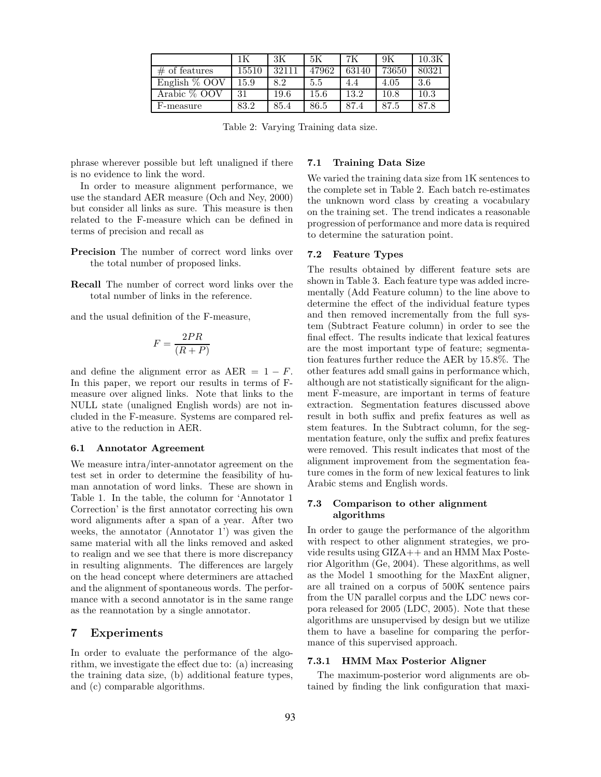|                  |       | ЗK   | 5K    | 7K    | .9Κ   | 10.3K |
|------------------|-------|------|-------|-------|-------|-------|
| $\#$ of features | 15510 | 3211 | 47962 | 63140 | 73650 | 80321 |
| English $%$ OOV  | 15.9  | 8.2  | 5.5   | 4.4   | 4.05  | 3.6   |
| Arabic $\%$ OOV  | 31    | 19.6 | 15.6  | 13.2  | 10.8  | 10.3  |
| F-measure        | 83.2  | 85.4 | 86.5  | 87.4  | 87.5  | 87.8  |

Table 2: Varying Training data size.

phrase wherever possible but left unaligned if there is no evidence to link the word.

In order to measure alignment performance, we use the standard AER measure (Och and Ney, 2000) but consider all links as sure. This measure is then related to the F-measure which can be defined in terms of precision and recall as

- Precision The number of correct word links over the total number of proposed links.
- Recall The number of correct word links over the total number of links in the reference.

and the usual definition of the F-measure,

$$
F = \frac{2PR}{(R+P)}
$$

and define the alignment error as  $AER = 1 - F$ . In this paper, we report our results in terms of Fmeasure over aligned links. Note that links to the NULL state (unaligned English words) are not included in the F-measure. Systems are compared relative to the reduction in AER.

#### 6.1 Annotator Agreement

We measure intra/inter-annotator agreement on the test set in order to determine the feasibility of human annotation of word links. These are shown in Table 1. In the table, the column for 'Annotator 1 Correction' is the first annotator correcting his own word alignments after a span of a year. After two weeks, the annotator (Annotator 1') was given the same material with all the links removed and asked to realign and we see that there is more discrepancy in resulting alignments. The differences are largely on the head concept where determiners are attached and the alignment of spontaneous words. The performance with a second annotator is in the same range as the reannotation by a single annotator.

## 7 Experiments

In order to evaluate the performance of the algorithm, we investigate the effect due to: (a) increasing the training data size, (b) additional feature types, and (c) comparable algorithms.

#### 7.1 Training Data Size

We varied the training data size from 1K sentences to the complete set in Table 2. Each batch re-estimates the unknown word class by creating a vocabulary on the training set. The trend indicates a reasonable progression of performance and more data is required to determine the saturation point.

#### 7.2 Feature Types

The results obtained by different feature sets are shown in Table 3. Each feature type was added incrementally (Add Feature column) to the line above to determine the effect of the individual feature types and then removed incrementally from the full system (Subtract Feature column) in order to see the final effect. The results indicate that lexical features are the most important type of feature; segmentation features further reduce the AER by 15.8%. The other features add small gains in performance which, although are not statistically significant for the alignment F-measure, are important in terms of feature extraction. Segmentation features discussed above result in both suffix and prefix features as well as stem features. In the Subtract column, for the segmentation feature, only the suffix and prefix features were removed. This result indicates that most of the alignment improvement from the segmentation feature comes in the form of new lexical features to link Arabic stems and English words.

#### 7.3 Comparison to other alignment algorithms

In order to gauge the performance of the algorithm with respect to other alignment strategies, we provide results using GIZA++ and an HMM Max Posterior Algorithm (Ge, 2004). These algorithms, as well as the Model 1 smoothing for the MaxEnt aligner, are all trained on a corpus of 500K sentence pairs from the UN parallel corpus and the LDC news corpora released for 2005 (LDC, 2005). Note that these algorithms are unsupervised by design but we utilize them to have a baseline for comparing the performance of this supervised approach.

#### 7.3.1 HMM Max Posterior Aligner

The maximum-posterior word alignments are obtained by finding the link configuration that maxi-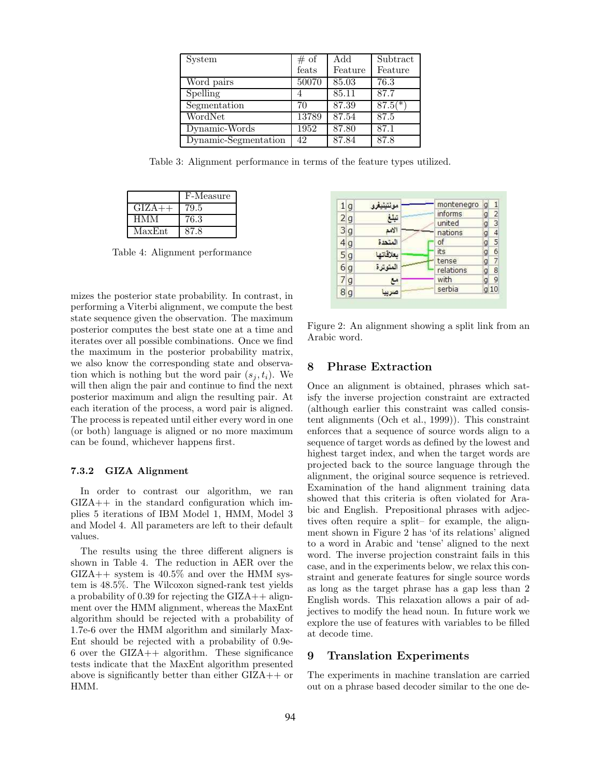| System               | # of  | Add     | Subtract            |
|----------------------|-------|---------|---------------------|
|                      | feats | Feature | Feature             |
| Word pairs           | 50070 | 85.03   | 76.3                |
| Spelling             |       | 85.11   | 87.7                |
| Segmentation         | 70    | 87.39   | $87.5$ <sup>*</sup> |
| WordNet              | 13789 | 87.54   | 87.5                |
| Dynamic-Words        | 1952  | 87.80   | 87.1                |
| Dynamic-Segmentation | 42    | 87.84   | 87.8                |

Table 3: Alignment performance in terms of the feature types utilized.

|                     | F-Measure |
|---------------------|-----------|
| $\overline{GIZ}A++$ | 79.5      |
| <b>HMM</b>          | 76.3      |
| MaxEnt              | 87 8      |

Table 4: Alignment performance

mizes the posterior state probability. In contrast, in performing a Viterbi alignment, we compute the best state sequence given the observation. The maximum posterior computes the best state one at a time and iterates over all possible combinations. Once we find the maximum in the posterior probability matrix, we also know the corresponding state and observation which is nothing but the word pair  $(s_i, t_i)$ . We will then align the pair and continue to find the next posterior maximum and align the resulting pair. At each iteration of the process, a word pair is aligned. The process is repeated until either every word in one (or both) language is aligned or no more maximum can be found, whichever happens first.

#### 7.3.2 GIZA Alignment

In order to contrast our algorithm, we ran GIZA++ in the standard configuration which implies 5 iterations of IBM Model 1, HMM, Model 3 and Model 4. All parameters are left to their default values.

The results using the three different aligners is shown in Table 4. The reduction in AER over the  $GIZA++$  system is  $40.5\%$  and over the HMM system is 48.5%. The Wilcoxon signed-rank test yields a probability of  $0.39$  for rejecting the GIZA $++$  alignment over the HMM alignment, whereas the MaxEnt algorithm should be rejected with a probability of 1.7e-6 over the HMM algorithm and similarly Max-Ent should be rejected with a probability of 0.9e-6 over the  $GIZA++$  algorithm. These significance tests indicate that the MaxEnt algorithm presented above is significantly better than either GIZA++ or HMM.



Figure 2: An alignment showing a split link from an Arabic word.

## 8 Phrase Extraction

Once an alignment is obtained, phrases which satisfy the inverse projection constraint are extracted (although earlier this constraint was called consistent alignments (Och et al., 1999)). This constraint enforces that a sequence of source words align to a sequence of target words as defined by the lowest and highest target index, and when the target words are projected back to the source language through the alignment, the original source sequence is retrieved. Examination of the hand alignment training data showed that this criteria is often violated for Arabic and English. Prepositional phrases with adjectives often require a split– for example, the alignment shown in Figure 2 has 'of its relations' aligned to a word in Arabic and 'tense' aligned to the next word. The inverse projection constraint fails in this case, and in the experiments below, we relax this constraint and generate features for single source words as long as the target phrase has a gap less than 2 English words. This relaxation allows a pair of adjectives to modify the head noun. In future work we explore the use of features with variables to be filled at decode time.

## 9 Translation Experiments

The experiments in machine translation are carried out on a phrase based decoder similar to the one de-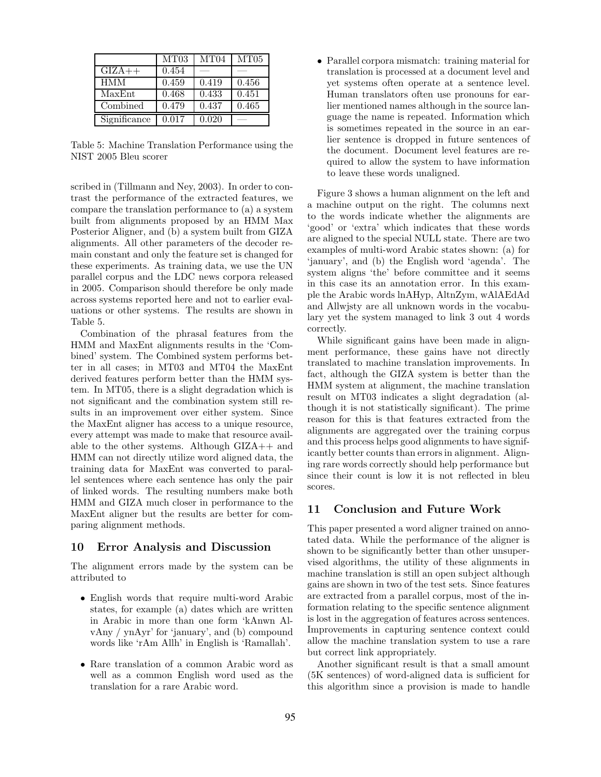|              | MT03  | MT04  | MT05  |
|--------------|-------|-------|-------|
| $GIZA++$     | 0.454 |       |       |
| <b>HMM</b>   | 0.459 | 0.419 | 0.456 |
| MaxEnt       | 0.468 | 0.433 | 0.451 |
| Combined     | 0.479 | 0.437 | 0.465 |
| Significance | 0.017 | 0.020 |       |

Table 5: Machine Translation Performance using the NIST 2005 Bleu scorer

scribed in (Tillmann and Ney, 2003). In order to contrast the performance of the extracted features, we compare the translation performance to (a) a system built from alignments proposed by an HMM Max Posterior Aligner, and (b) a system built from GIZA alignments. All other parameters of the decoder remain constant and only the feature set is changed for these experiments. As training data, we use the UN parallel corpus and the LDC news corpora released in 2005. Comparison should therefore be only made across systems reported here and not to earlier evaluations or other systems. The results are shown in Table 5.

Combination of the phrasal features from the HMM and MaxEnt alignments results in the 'Combined' system. The Combined system performs better in all cases; in MT03 and MT04 the MaxEnt derived features perform better than the HMM system. In MT05, there is a slight degradation which is not significant and the combination system still results in an improvement over either system. Since the MaxEnt aligner has access to a unique resource, every attempt was made to make that resource available to the other systems. Although GIZA++ and HMM can not directly utilize word aligned data, the training data for MaxEnt was converted to parallel sentences where each sentence has only the pair of linked words. The resulting numbers make both HMM and GIZA much closer in performance to the MaxEnt aligner but the results are better for comparing alignment methods.

## 10 Error Analysis and Discussion

The alignment errors made by the system can be attributed to

- English words that require multi-word Arabic states, for example (a) dates which are written in Arabic in more than one form 'kAnwn AlvAny / ynAyr' for 'january', and (b) compound words like 'rAm Allh' in English is 'Ramallah'.
- Rare translation of a common Arabic word as well as a common English word used as the translation for a rare Arabic word.

• Parallel corpora mismatch: training material for translation is processed at a document level and yet systems often operate at a sentence level. Human translators often use pronouns for earlier mentioned names although in the source language the name is repeated. Information which is sometimes repeated in the source in an earlier sentence is dropped in future sentences of the document. Document level features are required to allow the system to have information to leave these words unaligned.

Figure 3 shows a human alignment on the left and a machine output on the right. The columns next to the words indicate whether the alignments are 'good' or 'extra' which indicates that these words are aligned to the special NULL state. There are two examples of multi-word Arabic states shown: (a) for 'january', and (b) the English word 'agenda'. The system aligns 'the' before committee and it seems in this case its an annotation error. In this example the Arabic words lnAHyp, AltnZym, wAlAEdAd and Allwjsty are all unknown words in the vocabulary yet the system managed to link 3 out 4 words correctly.

While significant gains have been made in alignment performance, these gains have not directly translated to machine translation improvements. In fact, although the GIZA system is better than the HMM system at alignment, the machine translation result on MT03 indicates a slight degradation (although it is not statistically significant). The prime reason for this is that features extracted from the alignments are aggregated over the training corpus and this process helps good alignments to have significantly better counts than errorsin alignment. Aligning rare words correctly should help performance but since their count is low it is not reflected in bleu scores.

## 11 Conclusion and Future Work

This paper presented a word aligner trained on annotated data. While the performance of the aligner is shown to be significantly better than other unsupervised algorithms, the utility of these alignments in machine translation is still an open subject although gains are shown in two of the test sets. Since features are extracted from a parallel corpus, most of the information relating to the specific sentence alignment is lost in the aggregation of features across sentences. Improvements in capturing sentence context could allow the machine translation system to use a rare but correct link appropriately.

Another significant result is that a small amount (5K sentences) of word-aligned data is sufficient for this algorithm since a provision is made to handle